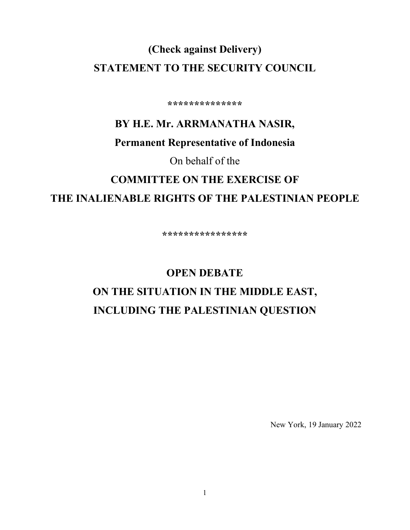## **(Check against Delivery) STATEMENT TO THE SECURITY COUNCIL**

**\*\*\*\*\*\*\*\*\*\*\*\*\*\***

# **BY H.E. Mr. ARRMANATHA NASIR, Permanent Representative of Indonesia**

On behalf of the

# **COMMITTEE ON THE EXERCISE OF THE INALIENABLE RIGHTS OF THE PALESTINIAN PEOPLE**

**\*\*\*\*\*\*\*\*\*\*\*\*\*\*\*\***

# **OPEN DEBATE ON THE SITUATION IN THE MIDDLE EAST, INCLUDING THE PALESTINIAN QUESTION**

New York, 19 January 2022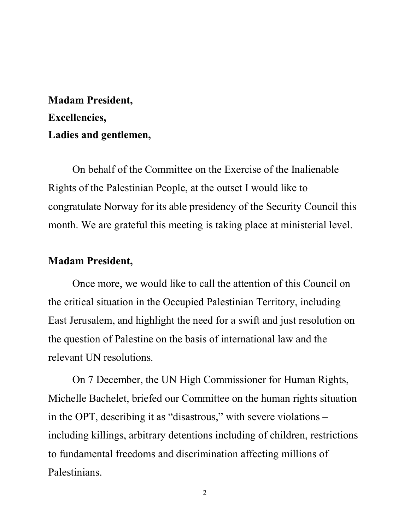## **Madam President, Excellencies, Ladies and gentlemen,**

On behalf of the Committee on the Exercise of the Inalienable Rights of the Palestinian People, at the outset I would like to congratulate Norway for its able presidency of the Security Council this month. We are grateful this meeting is taking place at ministerial level.

### **Madam President,**

Once more, we would like to call the attention of this Council on the critical situation in the Occupied Palestinian Territory, including East Jerusalem, and highlight the need for a swift and just resolution on the question of Palestine on the basis of international law and the relevant UN resolutions.

On 7 December, the UN High Commissioner for Human Rights, Michelle Bachelet, briefed our Committee on the human rights situation in the OPT, describing it as "disastrous," with severe violations – including killings, arbitrary detentions including of children, restrictions to fundamental freedoms and discrimination affecting millions of Palestinians.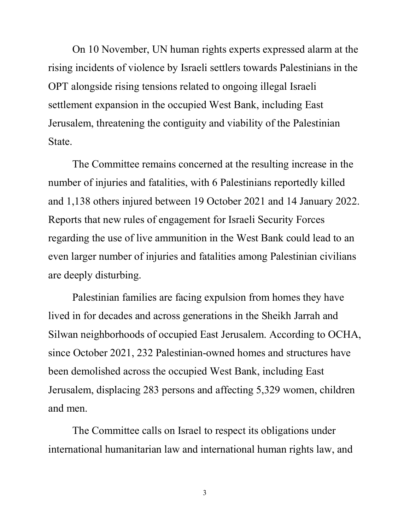On 10 November, UN human rights experts expressed alarm at the rising incidents of violence by Israeli settlers towards Palestinians in the OPT alongside rising tensions related to ongoing illegal Israeli settlement expansion in the occupied West Bank, including East Jerusalem, threatening the contiguity and viability of the Palestinian State.

The Committee remains concerned at the resulting increase in the number of injuries and fatalities, with 6 Palestinians reportedly killed and 1,138 others injured between 19 October 2021 and 14 January 2022. Reports that new rules of engagement for Israeli Security Forces regarding the use of live ammunition in the West Bank could lead to an even larger number of injuries and fatalities among Palestinian civilians are deeply disturbing.

Palestinian families are facing expulsion from homes they have lived in for decades and across generations in the Sheikh Jarrah and Silwan neighborhoods of occupied East Jerusalem. According to OCHA, since October 2021, 232 Palestinian-owned homes and structures have been demolished across the occupied West Bank, including East Jerusalem, displacing 283 persons and affecting 5,329 women, children and men.

The Committee calls on Israel to respect its obligations under international humanitarian law and international human rights law, and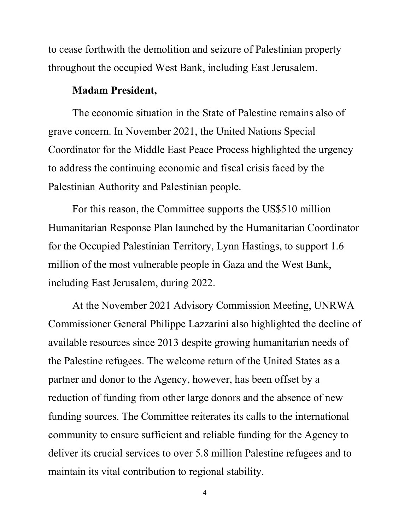to cease forthwith the demolition and seizure of Palestinian property throughout the occupied West Bank, including East Jerusalem.

### **Madam President,**

The economic situation in the State of Palestine remains also of grave concern. In November 2021, the United Nations Special Coordinator for the Middle East Peace Process highlighted the urgency to address the continuing economic and fiscal crisis faced by the Palestinian Authority and Palestinian people.

For this reason, the Committee supports the US\$510 million Humanitarian Response Plan launched by the Humanitarian Coordinator for the Occupied Palestinian Territory, Lynn Hastings, to support 1.6 million of the most vulnerable people in Gaza and the West Bank, including East Jerusalem, during 2022.

At the November 2021 Advisory Commission Meeting, UNRWA Commissioner General Philippe Lazzarini also highlighted the decline of available resources since 2013 despite growing humanitarian needs of the Palestine refugees. The welcome return of the United States as a partner and donor to the Agency, however, has been offset by a reduction of funding from other large donors and the absence of new funding sources. The Committee reiterates its calls to the international community to ensure sufficient and reliable funding for the Agency to deliver its crucial services to over 5.8 million Palestine refugees and to maintain its vital contribution to regional stability.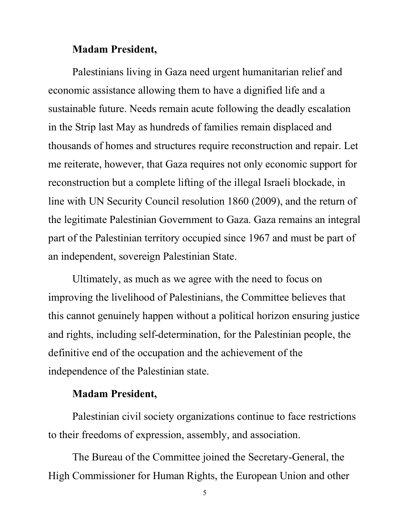### **Madam President,**

Palestinians living in Gaza need urgent humanitarian relief and economic assistance allowing them to have a dignified life and a sustainable future. Needs remain acute following the deadly escalation in the Strip last May as hundreds of families remain displaced and thousands of homes and structures require reconstruction and repair. Let me reiterate, however, that Gaza requires not only economic support for reconstruction but a complete lifting of the illegal Israeli blockade, in line with UN Security Council resolution 1860 (2009), and the return of the legitimate Palestinian Government to Gaza. Gaza remains an integral part of the Palestinian territory occupied since 1967 and must be part of an independent, sovereign Palestinian State.

Ultimately, as much as we agree with the need to focus on improving the livelihood of Palestinians, the Committee believes that this cannot genuinely happen without a political horizon ensuring justice and rights, including self-determination, for the Palestinian people, the definitive end of the occupation and the achievement of the independence of the Palestinian state.

### **Madam President,**

Palestinian civil society organizations continue to face restrictions to their freedoms of expression, assembly, and association.

The Bureau of the Committee joined the Secretary-General, the High Commissioner for Human Rights, the European Union and other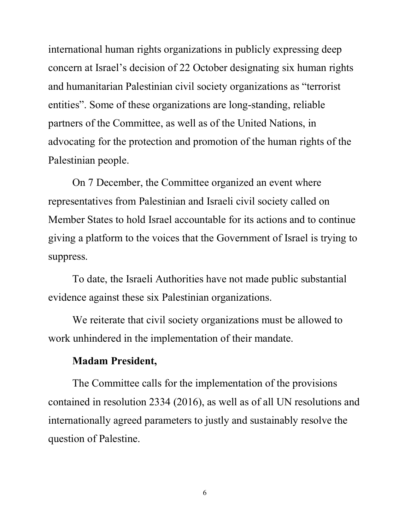international human rights organizations in publicly expressing deep concern at Israel's decision of 22 October designating six human rights and humanitarian Palestinian civil society organizations as "terrorist entities". Some of these organizations are long-standing, reliable partners of the Committee, as well as of the United Nations, in advocating for the protection and promotion of the human rights of the Palestinian people.

On 7 December, the Committee organized an event where representatives from Palestinian and Israeli civil society called on Member States to hold Israel accountable for its actions and to continue giving a platform to the voices that the Government of Israel is trying to suppress.

To date, the Israeli Authorities have not made public substantial evidence against these six Palestinian organizations.

We reiterate that civil society organizations must be allowed to work unhindered in the implementation of their mandate.

#### **Madam President,**

The Committee calls for the implementation of the provisions contained in resolution 2334 (2016), as well as of all UN resolutions and internationally agreed parameters to justly and sustainably resolve the question of Palestine.